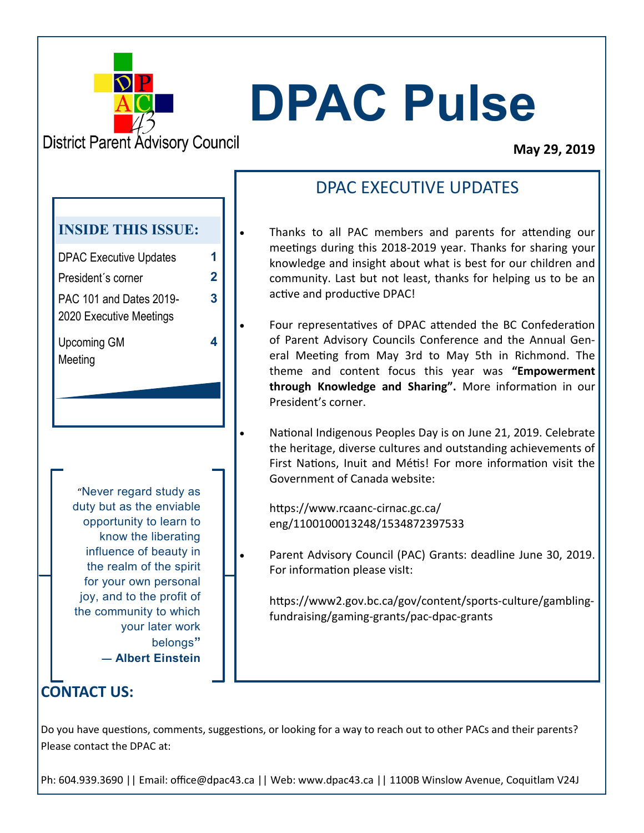

# **DPAC Pulse**

**District Parent Advisory Council** 

#### **May 29, 2019**

# DPAC EXECUTIVE UPDATES

- Thanks to all PAC members and parents for attending our meetings during this 2018-2019 year. Thanks for sharing your knowledge and insight about what is best for our children and community. Last but not least, thanks for helping us to be an active and productive DPAC!
- Four representatives of DPAC attended the BC Confederation of Parent Advisory Councils Conference and the Annual General Meeting from May 3rd to May 5th in Richmond. The theme and content focus this year was **"Empowerment through Knowledge and Sharing".** More information in our President's corner.
- National Indigenous Peoples Day is on June 21, 2019. Celebrate the heritage, diverse cultures and outstanding achievements of First Nations, Inuit and Métis! For more information visit the Government of Canada website:

https://www.rcaanc-cirnac.gc.ca/ eng/1100100013248/1534872397533

Parent Advisory Council (PAC) Grants: deadline June 30, 2019. For information please visIt:

https://www2.gov.bc.ca/gov/content/sports-culture/gamblingfundraising/gaming-grants/pac-dpac-grants

**CONTACT US:**

Do you have questions, comments, suggestions, or looking for a way to reach out to other PACs and their parents? Please contact the DPAC at:

Ph: 604.939.3690 || Email: office@dpac43.ca || Web: www.dpac43.ca || 1100B Winslow Avenue, Coquitlam V24J

#### **INSIDE THIS ISSUE:**

DPAC Executive Updates **1** President´s corner **2** PAC 101 and Dates 2019- 2020 Executive Meetings Upcoming GM

**3**

**4**

Meeting

"Never regard study as duty but as the enviable opportunity to learn to know the liberating influence of beauty in the realm of the spirit for your own personal joy, and to the profit of the community to which your later work belongs**" ― Albert Einstein**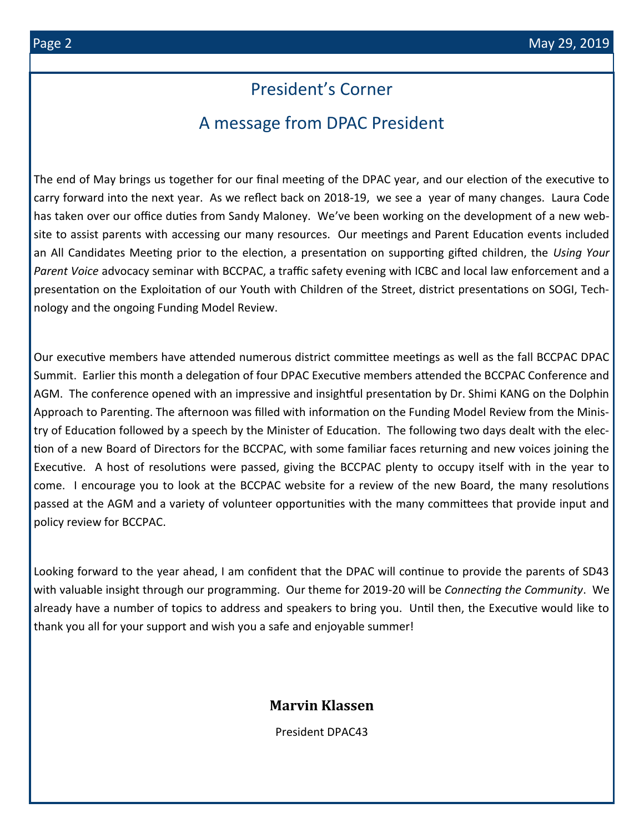# President's Corner

# A message from DPAC President

The end of May brings us together for our final meeting of the DPAC year, and our election of the executive to carry forward into the next year. As we reflect back on 2018-19, we see a year of many changes. Laura Code has taken over our office duties from Sandy Maloney. We've been working on the development of a new website to assist parents with accessing our many resources. Our meetings and Parent Education events included an All Candidates Meeting prior to the election, a presentation on supporting gifted children, the *Using Your Parent Voice* advocacy seminar with BCCPAC, a traffic safety evening with ICBC and local law enforcement and a presentation on the Exploitation of our Youth with Children of the Street, district presentations on SOGI, Technology and the ongoing Funding Model Review.

Our executive members have attended numerous district committee meetings as well as the fall BCCPAC DPAC Summit. Earlier this month a delegation of four DPAC Executive members attended the BCCPAC Conference and AGM. The conference opened with an impressive and insightful presentation by Dr. Shimi KANG on the Dolphin Approach to Parenting. The afternoon was filled with information on the Funding Model Review from the Ministry of Education followed by a speech by the Minister of Education. The following two days dealt with the election of a new Board of Directors for the BCCPAC, with some familiar faces returning and new voices joining the Executive. A host of resolutions were passed, giving the BCCPAC plenty to occupy itself with in the year to come. I encourage you to look at the BCCPAC website for a review of the new Board, the many resolutions passed at the AGM and a variety of volunteer opportunities with the many committees that provide input and policy review for BCCPAC.

Looking forward to the year ahead, I am confident that the DPAC will continue to provide the parents of SD43 with valuable insight through our programming. Our theme for 2019-20 will be *Connecting the Community*. We already have a number of topics to address and speakers to bring you. Until then, the Executive would like to thank you all for your support and wish you a safe and enjoyable summer!

#### **Marvin Klassen**

President DPAC43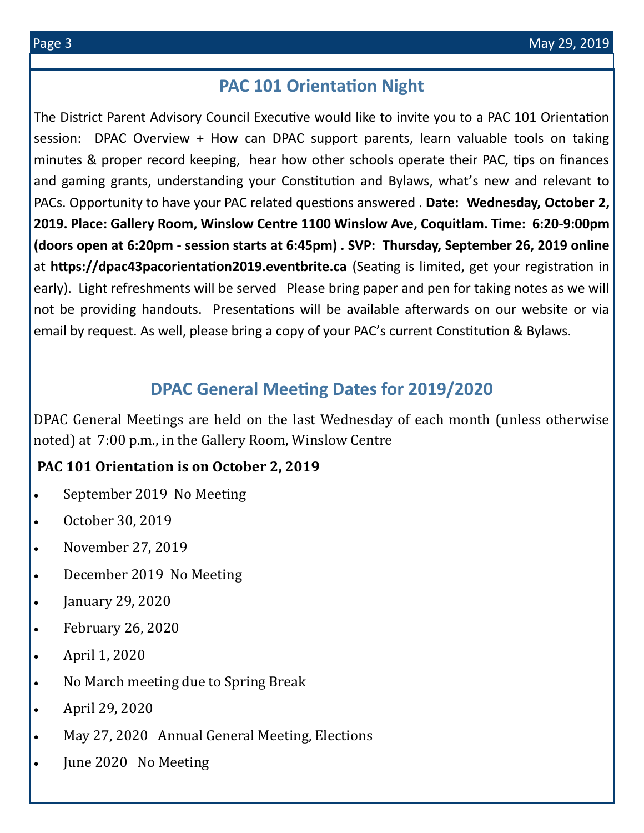# **PAC 101 Orientation Night**

The District Parent Advisory Council Executive would like to invite you to a PAC 101 Orientation session: DPAC Overview + How can DPAC support parents, learn valuable tools on taking minutes & proper record keeping, hear how other schools operate their PAC, tips on finances and gaming grants, understanding your Constitution and Bylaws, what's new and relevant to PACs. Opportunity to have your PAC related questions answered . **Date: Wednesday, October 2, 2019. Place: Gallery Room, Winslow Centre 1100 Winslow Ave, Coquitlam. Time: 6:20-9:00pm (doors open at 6:20pm - session starts at 6:45pm) . SVP: Thursday, September 26, 2019 online**  at **https://dpac43pacorientation2019.eventbrite.ca** (Seating is limited, get your registration in early). Light refreshments will be served Please bring paper and pen for taking notes as we will not be providing handouts. Presentations will be available afterwards on our website or via email by request. As well, please bring a copy of your PAC's current Constitution & Bylaws.

# **DPAC General Meeting Dates for 2019/2020**

DPAC General Meetings are held on the last Wednesday of each month (unless otherwise noted) at 7:00 p.m., in the Gallery Room, Winslow Centre

#### **PAC 101 Orientation is on October 2, 2019**

- September 2019 No Meeting
- October 30, 2019
- November 27, 2019
- December 2019 No Meeting
- January 29, 2020
- February 26, 2020
- April 1, 2020
- No March meeting due to Spring Break
- April 29, 2020
- May 27, 2020 Annual General Meeting, Elections
- June 2020 No Meeting